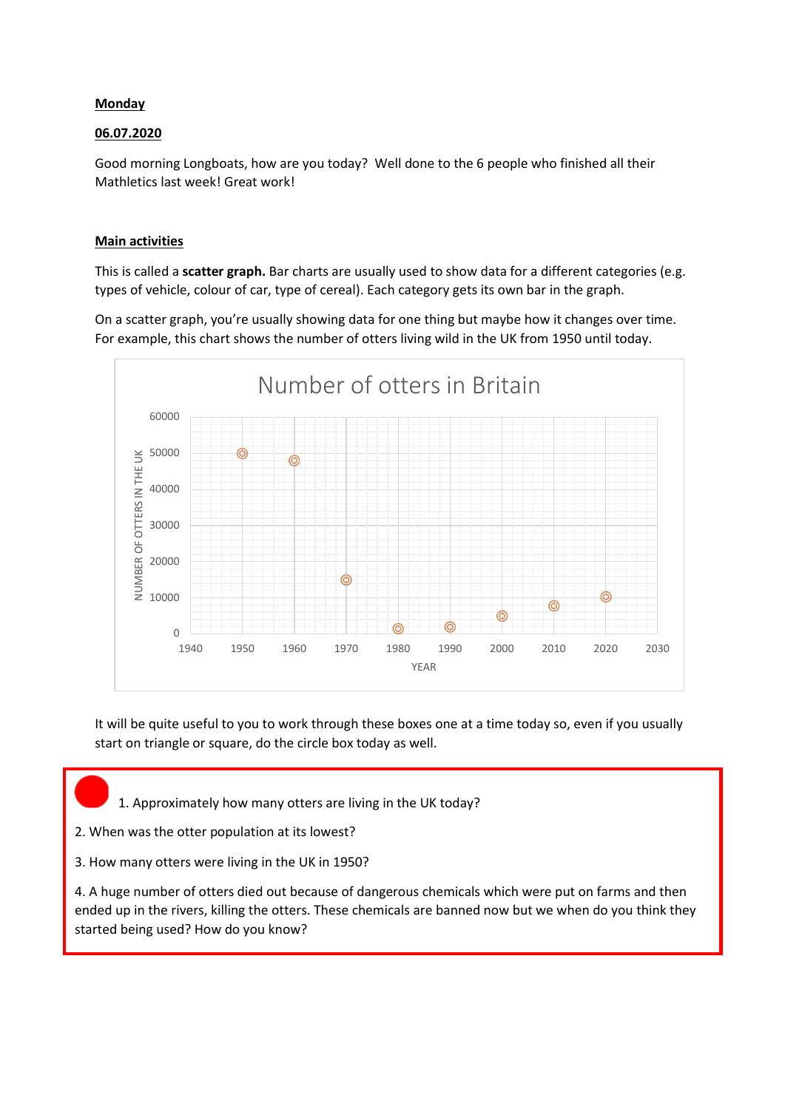## **Monday**

## 06.07.2020

Good morning Longboats, how are you today? Well done to the 6 people who finished all their Mathletics last week! Great work!

## Main activities

This is called a **scatter graph.** Bar charts are usually used to show data for a different categories (e.g. types of vehicle, colour of car, type of cereal). Each category gets its own bar in the graph.

On a scatter graph, you're usually showing data for one thing but maybe how it changes over time. For example, this chart shows the number of otters living wild in the UK from 1950 until today.



It will be quite useful to you to work through these boxes one at a time today so, even if you usually start on triangle or square, do the circle box today as well.

- 1. Approximately how many otters are living in the UK today?
- 2. When was the otter population at its lowest?
- 3. How many otters were living in the UK in 1950?

4. A huge number of otters died out because of dangerous chemicals which were put on farms and then ended up in the rivers, killing the otters. These chemicals are banned now but we when do you think they started being used? How do you know?